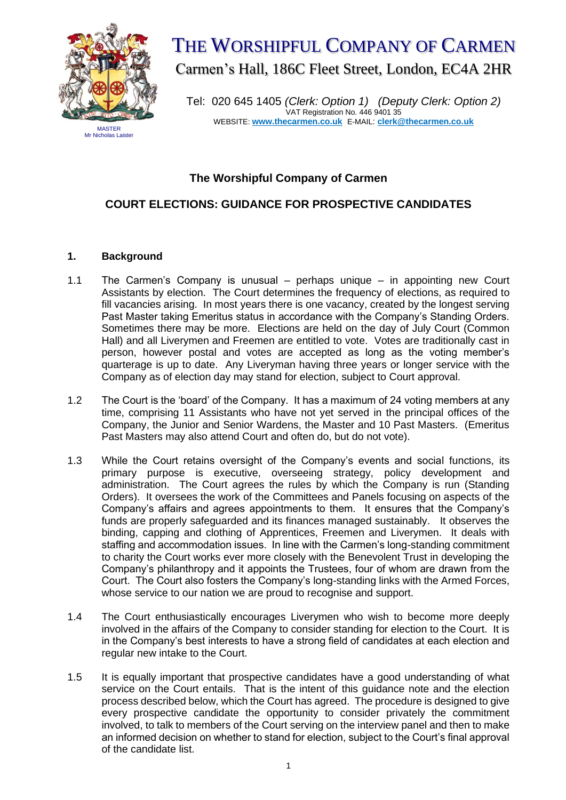

# THE WORSHIPFUL COMPANY OF CARMEN Carmen's Hall, 186C Fleet Street, London, EC4A 2HR

Tel: 020 645 1405 *(Clerk: Option 1) (Deputy Clerk: Option 2)* VAT Registration No. 446 9401 35 WEBSITE: **[www.thecarmen.co.uk](http://www.thecarmen.co.uk/)** E-MAIL: **clerk@thecarmen.co.uk**

### **The Worshipful Company of Carmen**

# **COURT ELECTIONS: GUIDANCE FOR PROSPECTIVE CANDIDATES**

## **1. Background**

- 1.1 The Carmen's Company is unusual perhaps unique in appointing new Court Assistants by election. The Court determines the frequency of elections, as required to fill vacancies arising. In most years there is one vacancy, created by the longest serving Past Master taking Emeritus status in accordance with the Company's Standing Orders. Sometimes there may be more. Elections are held on the day of July Court (Common Hall) and all Liverymen and Freemen are entitled to vote. Votes are traditionally cast in person, however postal and votes are accepted as long as the voting member's quarterage is up to date. Any Liveryman having three years or longer service with the Company as of election day may stand for election, subject to Court approval.
- 1.2 The Court is the 'board' of the Company. It has a maximum of 24 voting members at any time, comprising 11 Assistants who have not yet served in the principal offices of the Company, the Junior and Senior Wardens, the Master and 10 Past Masters. (Emeritus Past Masters may also attend Court and often do, but do not vote).
- 1.3 While the Court retains oversight of the Company's events and social functions, its primary purpose is executive, overseeing strategy, policy development and administration. The Court agrees the rules by which the Company is run (Standing Orders). It oversees the work of the Committees and Panels focusing on aspects of the Company's affairs and agrees appointments to them. It ensures that the Company's funds are properly safeguarded and its finances managed sustainably. It observes the binding, capping and clothing of Apprentices, Freemen and Liverymen. It deals with staffing and accommodation issues. In line with the Carmen's long-standing commitment to charity the Court works ever more closely with the Benevolent Trust in developing the Company's philanthropy and it appoints the Trustees, four of whom are drawn from the Court. The Court also fosters the Company's long-standing links with the Armed Forces, whose service to our nation we are proud to recognise and support.
- 1.4 The Court enthusiastically encourages Liverymen who wish to become more deeply involved in the affairs of the Company to consider standing for election to the Court. It is in the Company's best interests to have a strong field of candidates at each election and regular new intake to the Court.
- 1.5 It is equally important that prospective candidates have a good understanding of what service on the Court entails. That is the intent of this guidance note and the election process described below, which the Court has agreed. The procedure is designed to give every prospective candidate the opportunity to consider privately the commitment involved, to talk to members of the Court serving on the interview panel and then to make an informed decision on whether to stand for election, subject to the Court's final approval of the candidate list.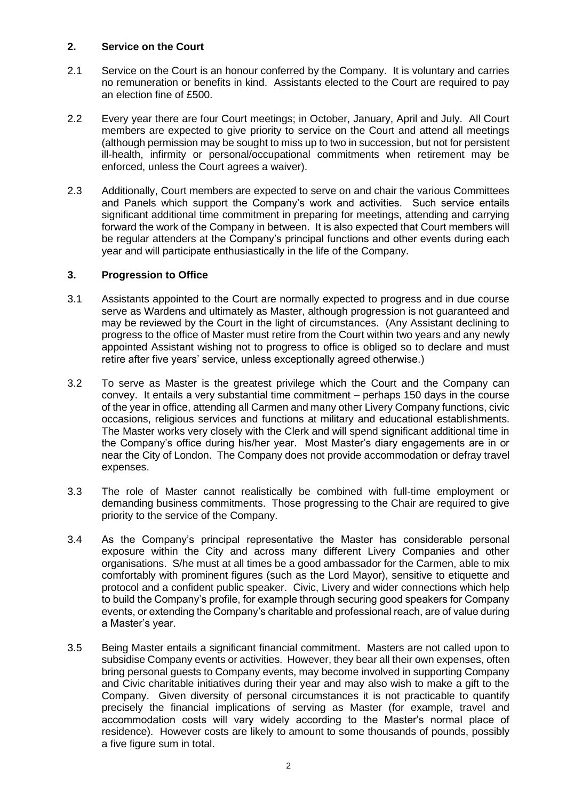#### **2. Service on the Court**

- 2.1 Service on the Court is an honour conferred by the Company. It is voluntary and carries no remuneration or benefits in kind. Assistants elected to the Court are required to pay an election fine of £500.
- 2.2 Every year there are four Court meetings; in October, January, April and July. All Court members are expected to give priority to service on the Court and attend all meetings (although permission may be sought to miss up to two in succession, but not for persistent ill-health, infirmity or personal/occupational commitments when retirement may be enforced, unless the Court agrees a waiver).
- 2.3 Additionally, Court members are expected to serve on and chair the various Committees and Panels which support the Company's work and activities. Such service entails significant additional time commitment in preparing for meetings, attending and carrying forward the work of the Company in between. It is also expected that Court members will be regular attenders at the Company's principal functions and other events during each year and will participate enthusiastically in the life of the Company.

#### **3. Progression to Office**

- 3.1 Assistants appointed to the Court are normally expected to progress and in due course serve as Wardens and ultimately as Master, although progression is not guaranteed and may be reviewed by the Court in the light of circumstances. (Any Assistant declining to progress to the office of Master must retire from the Court within two years and any newly appointed Assistant wishing not to progress to office is obliged so to declare and must retire after five years' service, unless exceptionally agreed otherwise.)
- 3.2 To serve as Master is the greatest privilege which the Court and the Company can convey. It entails a very substantial time commitment – perhaps 150 days in the course of the year in office, attending all Carmen and many other Livery Company functions, civic occasions, religious services and functions at military and educational establishments. The Master works very closely with the Clerk and will spend significant additional time in the Company's office during his/her year. Most Master's diary engagements are in or near the City of London. The Company does not provide accommodation or defray travel expenses.
- 3.3 The role of Master cannot realistically be combined with full-time employment or demanding business commitments. Those progressing to the Chair are required to give priority to the service of the Company.
- 3.4 As the Company's principal representative the Master has considerable personal exposure within the City and across many different Livery Companies and other organisations. S/he must at all times be a good ambassador for the Carmen, able to mix comfortably with prominent figures (such as the Lord Mayor), sensitive to etiquette and protocol and a confident public speaker. Civic, Livery and wider connections which help to build the Company's profile, for example through securing good speakers for Company events, or extending the Company's charitable and professional reach, are of value during a Master's year.
- 3.5 Being Master entails a significant financial commitment. Masters are not called upon to subsidise Company events or activities. However, they bear all their own expenses, often bring personal guests to Company events, may become involved in supporting Company and Civic charitable initiatives during their year and may also wish to make a gift to the Company. Given diversity of personal circumstances it is not practicable to quantify precisely the financial implications of serving as Master (for example, travel and accommodation costs will vary widely according to the Master's normal place of residence). However costs are likely to amount to some thousands of pounds, possibly a five figure sum in total.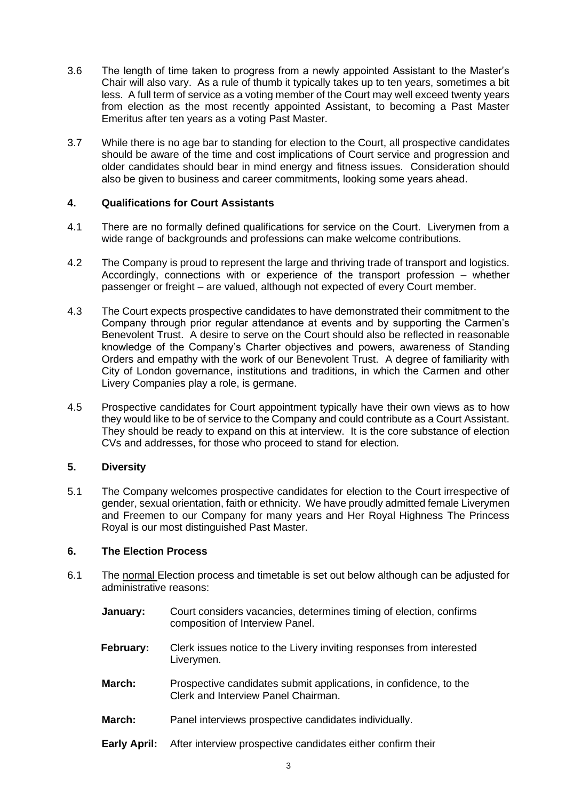- 3.6 The length of time taken to progress from a newly appointed Assistant to the Master's Chair will also vary. As a rule of thumb it typically takes up to ten years, sometimes a bit less. A full term of service as a voting member of the Court may well exceed twenty years from election as the most recently appointed Assistant, to becoming a Past Master Emeritus after ten years as a voting Past Master.
- 3.7 While there is no age bar to standing for election to the Court, all prospective candidates should be aware of the time and cost implications of Court service and progression and older candidates should bear in mind energy and fitness issues. Consideration should also be given to business and career commitments, looking some years ahead.

#### **4. Qualifications for Court Assistants**

- 4.1 There are no formally defined qualifications for service on the Court. Liverymen from a wide range of backgrounds and professions can make welcome contributions.
- 4.2 The Company is proud to represent the large and thriving trade of transport and logistics. Accordingly, connections with or experience of the transport profession – whether passenger or freight – are valued, although not expected of every Court member.
- 4.3 The Court expects prospective candidates to have demonstrated their commitment to the Company through prior regular attendance at events and by supporting the Carmen's Benevolent Trust. A desire to serve on the Court should also be reflected in reasonable knowledge of the Company's Charter objectives and powers, awareness of Standing Orders and empathy with the work of our Benevolent Trust. A degree of familiarity with City of London governance, institutions and traditions, in which the Carmen and other Livery Companies play a role, is germane.
- 4.5 Prospective candidates for Court appointment typically have their own views as to how they would like to be of service to the Company and could contribute as a Court Assistant. They should be ready to expand on this at interview. It is the core substance of election CVs and addresses, for those who proceed to stand for election.

#### **5. Diversity**

5.1 The Company welcomes prospective candidates for election to the Court irrespective of gender, sexual orientation, faith or ethnicity. We have proudly admitted female Liverymen and Freemen to our Company for many years and Her Royal Highness The Princess Royal is our most distinguished Past Master.

#### **6. The Election Process**

- 6.1 The normal Election process and timetable is set out below although can be adjusted for administrative reasons:
	- **January:** Court considers vacancies, determines timing of election, confirms composition of Interview Panel.
	- **February:** Clerk issues notice to the Livery inviting responses from interested Liverymen.
	- **March:** Prospective candidates submit applications, in confidence, to the Clerk and Interview Panel Chairman.
	- **March:** Panel interviews prospective candidates individually.
	- **Early April:** After interview prospective candidates either confirm their